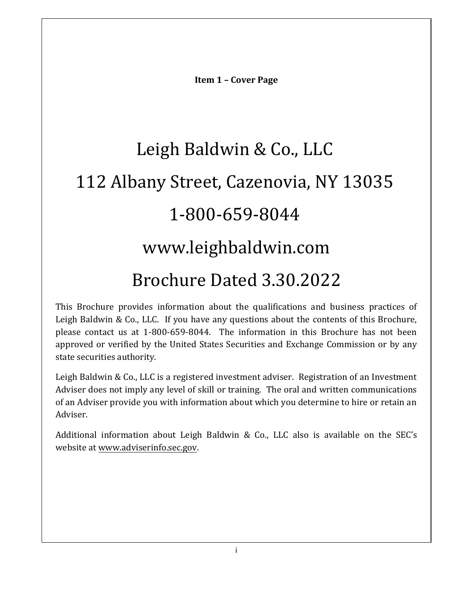**Item 1 – Cover Page**

# <span id="page-0-0"></span>Leigh Baldwin & Co., LLC 112 Albany Street, Cazenovia, NY 13035 1-800-659-8044 www.leighbaldwin.com Brochure Dated 3.30.2022

This Brochure provides information about the qualifications and business practices of Leigh Baldwin & Co., LLC. If you have any questions about the contents of this Brochure, please contact us at 1-800-659-8044. The information in this Brochure has not been approved or verified by the United States Securities and Exchange Commission or by any state securities authority.

Leigh Baldwin & Co., LLC is a registered investment adviser. Registration of an Investment Adviser does not imply any level of skill or training. The oral and written communications of an Adviser provide you with information about which you determine to hire or retain an Adviser.

Additional information about Leigh Baldwin & Co., LLC also is available on the SEC's website at [www.adviserinfo.sec.gov.](http://www.adviserinfo.sec.gov/)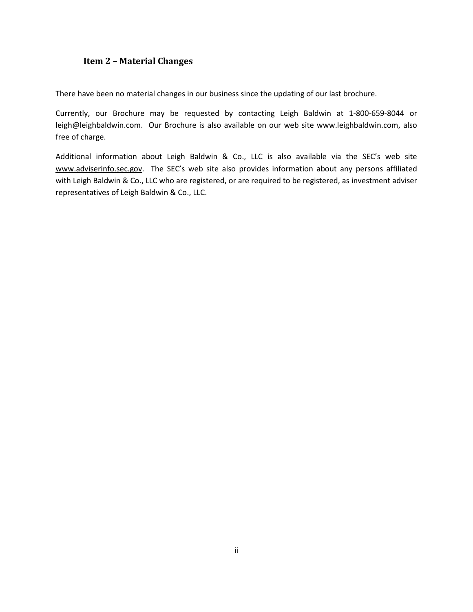## <span id="page-1-0"></span>**Item 2 – Material Changes**

There have been no material changes in our business since the updating of our last brochure.

Currently, our Brochure may be requested by contacting Leigh Baldwin at 1-800-659-8044 or leigh@leighbaldwin.com. Our Brochure is also available on our web site www.leighbaldwin.com, also free of charge.

<span id="page-1-1"></span>Additional information about Leigh Baldwin & Co., LLC is also available via the SEC's web site [www.adviserinfo.sec.gov.](http://www.adviserinfo.sec.gov/) The SEC's web site also provides information about any persons affiliated with Leigh Baldwin & Co., LLC who are registered, or are required to be registered, as investment adviser representatives of Leigh Baldwin & Co., LLC.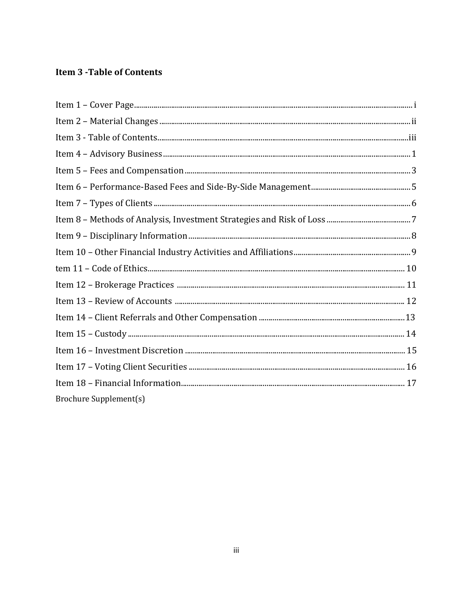# **Item 3 - Table of Contents**

| Brochure Supplement(s) |  |
|------------------------|--|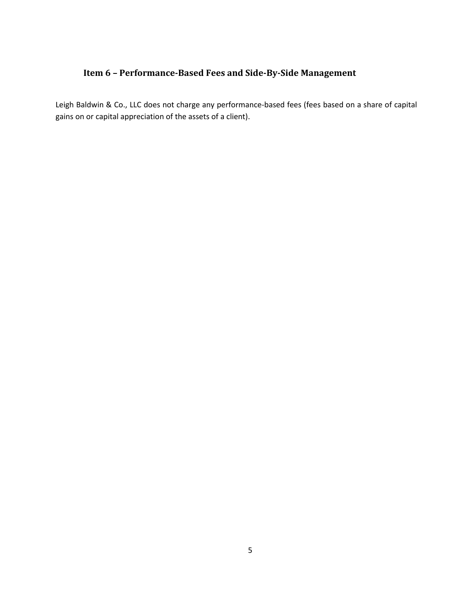# **Item 6 – Performance-Based Fees and Side-By-Side Management**

<span id="page-7-0"></span>Leigh Baldwin & Co., LLC does not charge any performance-based fees (fees based on a share of capital gains on or capital appreciation of the assets of a client).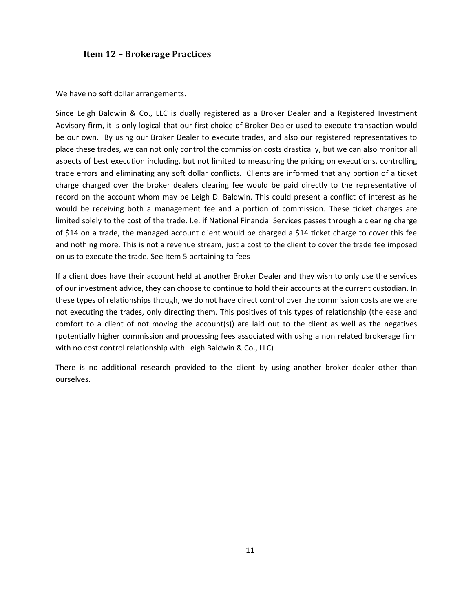# **Item 3 - Table of Contents**

| Item 2 Material Changes (and according to the control of the control of the control of the control of the control of the control of the control of the control of the control of the control of the control of the control of |
|-------------------------------------------------------------------------------------------------------------------------------------------------------------------------------------------------------------------------------|
|                                                                                                                                                                                                                               |
|                                                                                                                                                                                                                               |
| Item 5 Fees and Compensation (2008) 2008 (2008) 3 and 23 and 3 and 3 and 3 and 3 and 3 and 3 and 3 and 3 and 3                                                                                                                |
|                                                                                                                                                                                                                               |
|                                                                                                                                                                                                                               |
|                                                                                                                                                                                                                               |
| Item 9 Disciplinary Information (2008) (2008) 2010 2010 31 November 2010) 32 November 2010 32                                                                                                                                 |
|                                                                                                                                                                                                                               |
|                                                                                                                                                                                                                               |
|                                                                                                                                                                                                                               |
|                                                                                                                                                                                                                               |
|                                                                                                                                                                                                                               |
|                                                                                                                                                                                                                               |
|                                                                                                                                                                                                                               |
|                                                                                                                                                                                                                               |
|                                                                                                                                                                                                                               |
|                                                                                                                                                                                                                               |
|                                                                                                                                                                                                                               |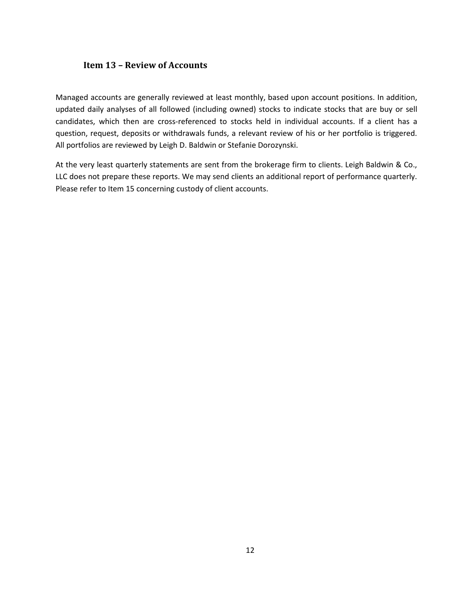## **Item 13 – Review of Accounts**

<span id="page-14-0"></span>Managed accounts are generally reviewed at least monthly, based upon account positions. In addition, updated daily analyses of all followed (including owned) stocks to indicate stocks that are buy or sell candidates, which then are cross-referenced to stocks held in individual accounts. If a client has a question, request, deposits or withdrawals funds, a relevant review of his or her portfolio is triggered. All portfolios are reviewed by Leigh DX Baldwin or Stefanie Dorozynski.

At the very least quarterly statements are sent from the brokerage firm to clients. Leigh Baldwin & Co., LLC does not prepare these reports. We may send clients an additional report of performance quarterly. Please refer to Item 15 concerning custody of client accounts.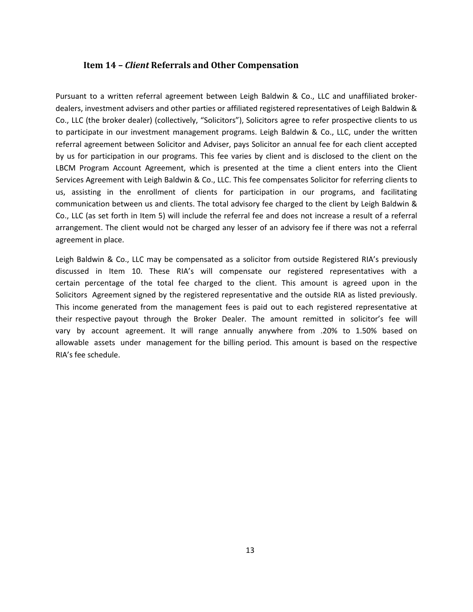#### **Item 14 –** *Client* **Referrals and Other Compensation**

Pursuant to a written referral agreement between Leigh Baldwin & Co., LLC and unaffiliated broker-dealers, investment advisers and other parties or affiliated registered representatives of Leigh Baldwin & Co., LLC (the broker dealer) (collectively, "Solicitors"), Solicitors agree to refer prospective clients to us to participate in our investment management programs. Leigh Baldwin & Co., LLC, under the written referral agreement between Solicitor and Adviser, pays Solicitor an annual fee for each client accepted by us for participation in our programs. This fee varies by client and is disclosed to the client on the LBCM Program Account Agreement, which is presented at the time a client enters into the Client Services Agreement with Leigh Baldwin & Co., LLC. This fee compensates Solicitor for referring clients to us, assisting in the enrollment of clients for participation in our programs, and facilitating communication between us and clients. The total advisory fee charged to the client by Leigh Baldwin & Co., LLC (as set forth in Item 5) will include the referral fee and does not increase a result of a referral arrangement. The client would not be charged any lesser of an advisory fee if there was not a referral agreement in place.

<span id="page-15-0"></span>Leigh Baldwin & Co., LLC may be compensated as a solicitor from outside Registered RIA's previously discussed in Item 10. These RIA's will compensate our registered representatives with a certain percentage of the total fee charged to the client. This amount is agreed upon in the Solicitors Agreement signed by the registered representative and the outside RIA as listed previously. This income generated from the management fees is paid out to each registered representative at their respective payout through the Broker Dealer. The amount remitted in solicitor's fee will vary by account agreement. It will range annually anywhere from .20% to 1.50% based on allowable assets under management for the billing period. This amount is based on the respective RIA's fee schedule.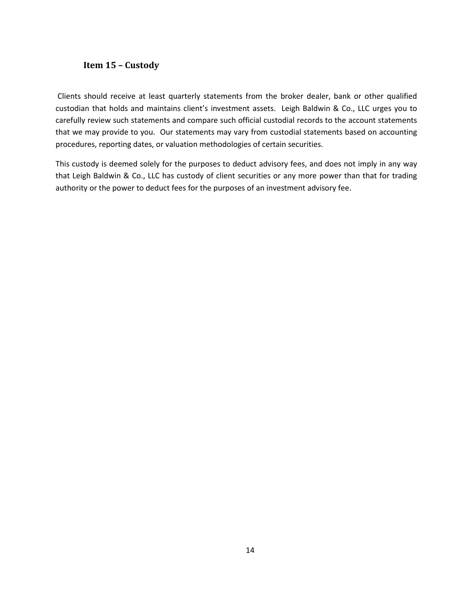#### **Item 15 – Custody**

Clients should receive at least quarterly statements from the broker dealer, bank or other qualified custodian that holds and maintains client's investment assets. Leigh Baldwin & Co., LLC urges you to carefully review such statements and compare such official custodial records to the account statements that we may provide to you. Our statements may vary from custodial statements based on accounting procedures, reporting dates, or valuation methodologies of certain securities.

<span id="page-16-0"></span>This custody is deemed solely for the purposes to deduct advisory fees, and does not imply in any way that Leigh Baldwin & Co., LLC has custody of client securities or any more power than that for trading authority or the power to deduct fees for the purposes of an investment advisory fee.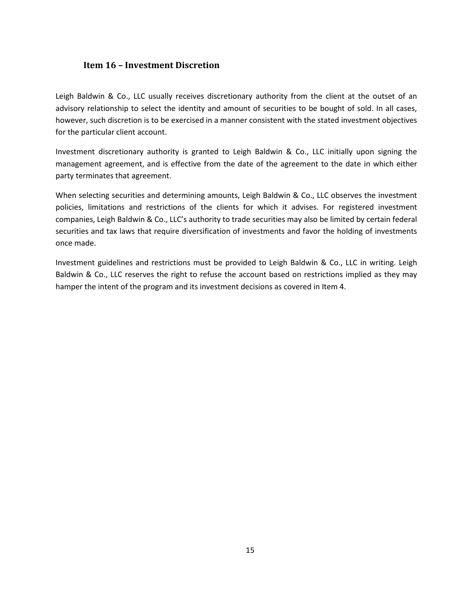## **Item 16 – Investment Discretion**

Leigh Baldwin & Co., LLC usually receives discretionary authority from the client at the outset of an advisory relationship to select the identity and amount of securities to be bought of sold. In all cases, however, such discretion is to be exercised in a manner consistent with the stated investment objectives for the particular client account.

Investment discretionary authority is granted to Leigh Baldwin & Co., LLC initially upon signing the management agreement, and is effective from the date of the agreement to the date in which either party terminates that agreement.

When selecting securities and determining amounts, Leigh Baldwin & Co., LLC observes the investment policies, limitations and restrictions of the clients for which it advises. For registered investment companies, Leigh Baldwin & Co., LLC's authority to trade securities may also be limited by certain federal securities and tax laws that require diversification of investments and favor the holding of investments once made.

<span id="page-17-0"></span>Investment guidelines and restrictions must be provided to Leigh Baldwin & Co., LLC in writing. Leigh Baldwin & Co., LLC reserves the right to refuse the account based on restrictions implied as they may hamper the intent of the program and its investment decisions as covered in Item 4.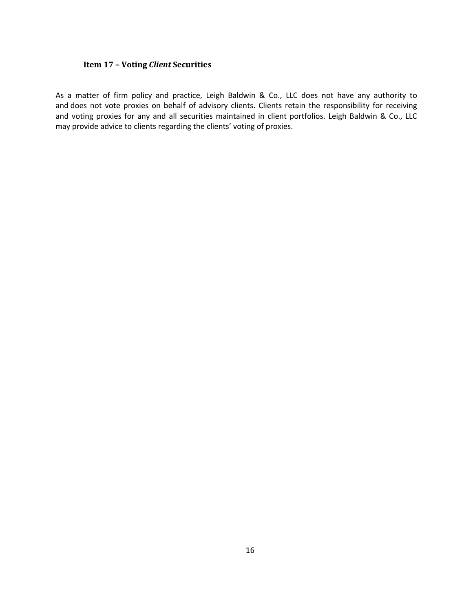## **Item 17 – Voting** *Client* **Securities**

As a matter of firm policy and practice, Leigh Baldwin & Co., LLC does not have any authority to and does not vote proxies on behalf of advisory clients. Clients retain the responsibility for receiving and voting proxies for any and all securities maintained in client portfolios. Leigh Baldwin & Co., LLC may provide advice to clients regarding the clients' voting of proxies.